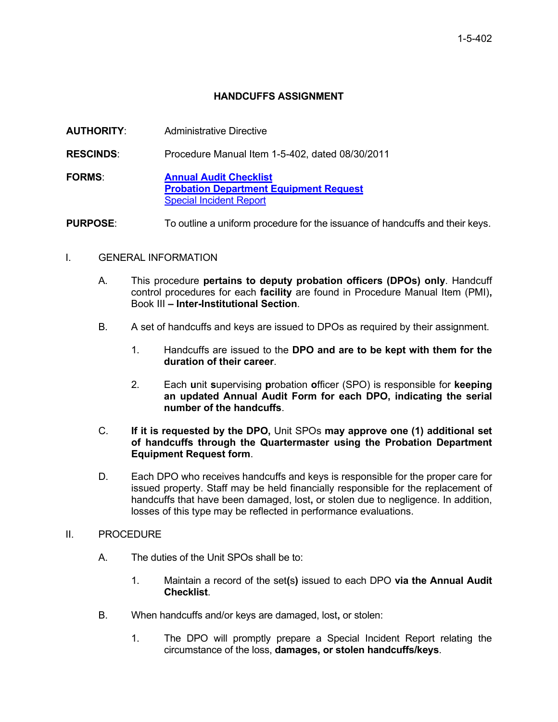## **HANDCUFFS ASSIGNMENT**

| <b>AUTHORITY:</b> | Administrative Directive                                                                                         |  |  |
|-------------------|------------------------------------------------------------------------------------------------------------------|--|--|
| <b>RESCINDS:</b>  | Procedure Manual Item 1-5-402, dated 08/30/2011                                                                  |  |  |
| <b>FORMS:</b>     | <b>Annual Audit Checklist</b><br><b>Probation Department Equipment Request</b><br><b>Special Incident Report</b> |  |  |
| <b>PURPOSE:</b>   | To outline a uniform procedure for the issuance of handcuffs and their keys.                                     |  |  |

## I. GENERAL INFORMATION

- A. This procedure **pertains to deputy probation officers (DPOs) only**. Handcuff control procedures for each **facility** are found in Procedure Manual Item (PMI)**,** Book III **– Inter-Institutional Section**.
- B. A set of handcuffs and keys are issued to DPOs as required by their assignment.
	- 1. Handcuffs are issued to the **DPO and are to be kept with them for the duration of their career**.
	- 2. Each **u**nit **s**upervising **p**robation **o**fficer (SPO) is responsible for **keeping an updated Annual Audit Form for each DPO, indicating the serial number of the handcuffs**.
- C. **If it is requested by the DPO,** Unit SPOs **may approve one (1) additional set of handcuffs through the Quartermaster using the Probation Department Equipment Request form**.
- D. Each DPO who receives handcuffs and keys is responsible for the proper care for issued property. Staff may be held financially responsible for the replacement of handcuffs that have been damaged, lost**,** or stolen due to negligence. In addition, losses of this type may be reflected in performance evaluations.
- II. PROCEDURE
	- A. The duties of the Unit SPOs shall be to:
		- 1. Maintain a record of the set**(**s**)** issued to each DPO **via the Annual Audit Checklist**.
	- B. When handcuffs and/or keys are damaged, lost**,** or stolen:
		- 1. The DPO will promptly prepare a Special Incident Report relating the circumstance of the loss, **damages, or stolen handcuffs/keys**.